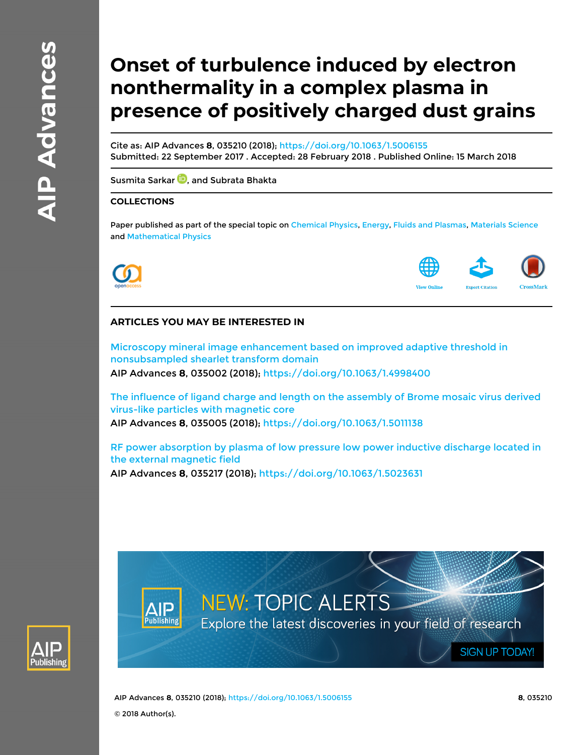# **Onset of turbulence induced by electron nonthermality in a complex plasma in presence of positively charged dust grains**

Cite as: AIP Advances **8**, 035210 (2018);<https://doi.org/10.1063/1.5006155> Submitted: 22 September 2017 . Accepted: 28 February 2018 . Published Online: 15 March 2018

[Susmita Sarkar](https://aip.scitation.org/author/Sarkar%2C+Susmita) **D**, and [Subrata Bhakta](https://aip.scitation.org/author/Bhakta%2C+Subrata)

### **COLLECTIONS**

Paper published as part of the special topic on [Chemical Physics,](/topic/special-collections/cp2019?SeriesKey=adv) [Energy](/topic/special-collections/eng2019?SeriesKey=adv), [Fluids and Plasmas,](/topic/special-collections/fp2019?SeriesKey=adv) [Materials Science](/topic/special-collections/ms2019?SeriesKey=adv) and [Mathematical Physics](/topic/special-collections/mp2019?SeriesKey=adv)





## **ARTICLES YOU MAY BE INTERESTED IN**

[Microscopy mineral image enhancement based on improved adaptive threshold in](https://aip.scitation.org/doi/10.1063/1.4998400) [nonsubsampled shearlet transform domain](https://aip.scitation.org/doi/10.1063/1.4998400)

AIP Advances **8**, 035002 (2018);<https://doi.org/10.1063/1.4998400>

[The influence of ligand charge and length on the assembly of Brome mosaic virus derived](https://aip.scitation.org/doi/10.1063/1.5011138) [virus-like particles with magnetic core](https://aip.scitation.org/doi/10.1063/1.5011138) AIP Advances **8**, 035005 (2018);<https://doi.org/10.1063/1.5011138>

[RF power absorption by plasma of low pressure low power inductive discharge located in](https://aip.scitation.org/doi/10.1063/1.5023631) [the external magnetic field](https://aip.scitation.org/doi/10.1063/1.5023631)

AIP Advances **8**, 035217 (2018);<https://doi.org/10.1063/1.5023631>



**NEW: TOPIC ALERTS** Explore the latest discoveries in your field of research

AIP Advances **8**, 035210 (2018); <https://doi.org/10.1063/1.5006155> **8**, 035210 © 2018 Author(s).

**SIGN UP TODAY!**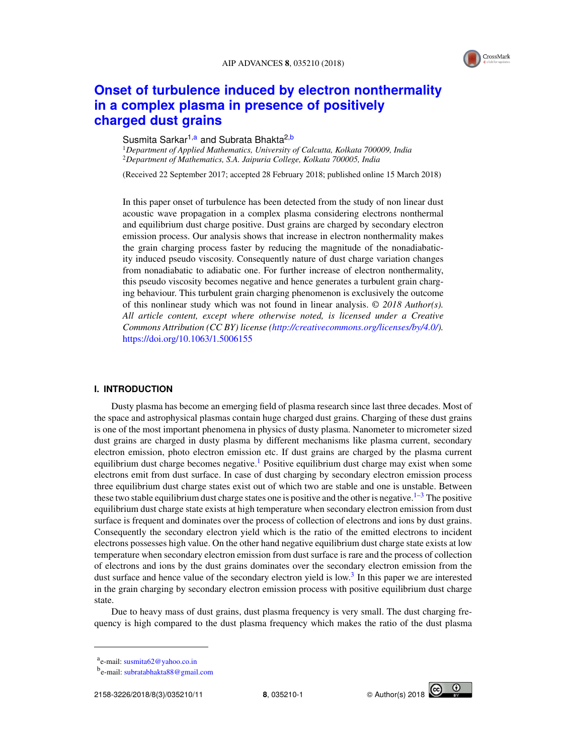

# **[Onset of turbulence induced by electron nonthermality](https://doi.org/10.1063/1.5006155) [in a complex plasma in presence of positively](https://doi.org/10.1063/1.5006155) [charged dust grains](https://doi.org/10.1063/1.5006155)**

#### Susmita Sarkar<sup>1[,a](#page-1-0)</sup> and Subrata Bhakta<sup>2[,b](#page-1-1)</sup>

<sup>1</sup>*Department of Applied Mathematics, University of Calcutta, Kolkata 700009, India* <sup>2</sup>*Department of Mathematics, S.A. Jaipuria College, Kolkata 700005, India*

(Received 22 September 2017; accepted 28 February 2018; published online 15 March 2018)

In this paper onset of turbulence has been detected from the study of non linear dust acoustic wave propagation in a complex plasma considering electrons nonthermal and equilibrium dust charge positive. Dust grains are charged by secondary electron emission process. Our analysis shows that increase in electron nonthermality makes the grain charging process faster by reducing the magnitude of the nonadiabaticity induced pseudo viscosity. Consequently nature of dust charge variation changes from nonadiabatic to adiabatic one. For further increase of electron nonthermality, this pseudo viscosity becomes negative and hence generates a turbulent grain charging behaviour. This turbulent grain charging phenomenon is exclusively the outcome of this nonlinear study which was not found in linear analysis. © *2018 Author(s). All article content, except where otherwise noted, is licensed under a Creative Commons Attribution (CC BY) license [\(http://creativecommons.org/licenses/by/4.0/\)](http://creativecommons.org/licenses/by/4.0/).* <https://doi.org/10.1063/1.5006155>

#### **I. INTRODUCTION**

Dusty plasma has become an emerging field of plasma research since last three decades. Most of the space and astrophysical plasmas contain huge charged dust grains. Charging of these dust grains is one of the most important phenomena in physics of dusty plasma. Nanometer to micrometer sized dust grains are charged in dusty plasma by different mechanisms like plasma current, secondary electron emission, photo electron emission etc. If dust grains are charged by the plasma current equilibrium dust charge becomes negative.<sup>[1](#page-10-0)</sup> Positive equilibrium dust charge may exist when some electrons emit from dust surface. In case of dust charging by secondary electron emission process three equilibrium dust charge states exist out of which two are stable and one is unstable. Between these two stable equilibrium dust charge states one is positive and the other is negative.<sup>[1–](#page-10-0)[3](#page-10-1)</sup> The positive equilibrium dust charge state exists at high temperature when secondary electron emission from dust surface is frequent and dominates over the process of collection of electrons and ions by dust grains. Consequently the secondary electron yield which is the ratio of the emitted electrons to incident electrons possesses high value. On the other hand negative equilibrium dust charge state exists at low temperature when secondary electron emission from dust surface is rare and the process of collection of electrons and ions by the dust grains dominates over the secondary electron emission from the dust surface and hence value of the secondary electron yield is low.<sup>[3](#page-10-1)</sup> In this paper we are interested in the grain charging by secondary electron emission process with positive equilibrium dust charge state.

Due to heavy mass of dust grains, dust plasma frequency is very small. The dust charging frequency is high compared to the dust plasma frequency which makes the ratio of the dust plasma



<span id="page-1-0"></span>a<br>e-mail: [susmita62@yahoo.co.in](mailto:susmita62@yahoo.co.in)

<span id="page-1-1"></span><sup>&</sup>lt;sup>b</sup>e-mail: [subratabhakta88@gmail.com](mailto:subratabhakta88@gmail.com)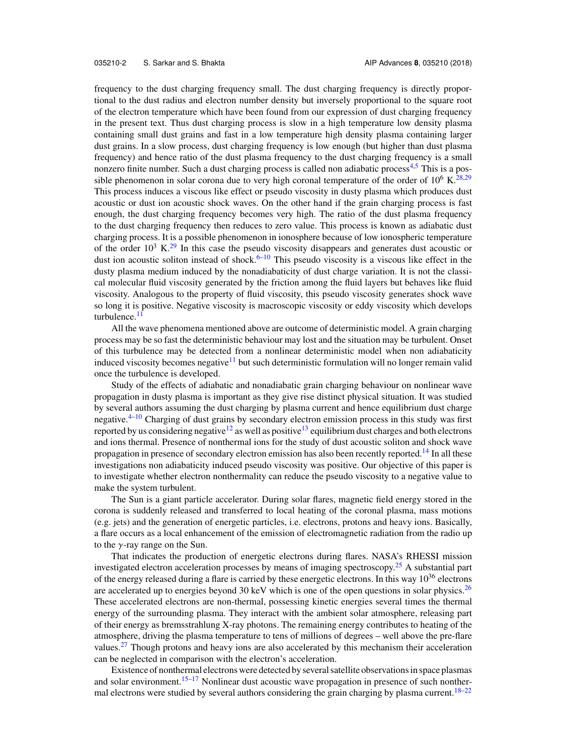frequency to the dust charging frequency small. The dust charging frequency is directly proportional to the dust radius and electron number density but inversely proportional to the square root of the electron temperature which have been found from our expression of dust charging frequency in the present text. Thus dust charging process is slow in a high temperature low density plasma containing small dust grains and fast in a low temperature high density plasma containing larger dust grains. In a slow process, dust charging frequency is low enough (but higher than dust plasma frequency) and hence ratio of the dust plasma frequency to the dust charging frequency is a small nonzero finite number. Such a dust charging process is called non adiabatic process<sup>[4,](#page-10-2)[5](#page-10-3)</sup> This is a possible phenomenon in solar corona due to very high coronal temperature of the order of  $10^6$  K.<sup>[28,](#page-11-0)[29](#page-11-1)</sup> This process induces a viscous like effect or pseudo viscosity in dusty plasma which produces dust acoustic or dust ion acoustic shock waves. On the other hand if the grain charging process is fast enough, the dust charging frequency becomes very high. The ratio of the dust plasma frequency to the dust charging frequency then reduces to zero value. This process is known as adiabatic dust charging process. It is a possible phenomenon in ionosphere because of low ionospheric temperature of the order  $10^3$  K.<sup>[29](#page-11-1)</sup> In this case the pseudo viscosity disappears and generates dust acoustic or dust ion acoustic soliton instead of shock.<sup>[6–](#page-10-4)[10](#page-10-5)</sup> This pseudo viscosity is a viscous like effect in the dusty plasma medium induced by the nonadiabaticity of dust charge variation. It is not the classical molecular fluid viscosity generated by the friction among the fluid layers but behaves like fluid viscosity. Analogous to the property of fluid viscosity, this pseudo viscosity generates shock wave so long it is positive. Negative viscosity is macroscopic viscosity or eddy viscosity which develops turbulence.<sup>[11](#page-10-6)</sup>

All the wave phenomena mentioned above are outcome of deterministic model. A grain charging process may be so fast the deterministic behaviour may lost and the situation may be turbulent. Onset of this turbulence may be detected from a nonlinear deterministic model when non adiabaticity induced viscosity becomes negative<sup>[11](#page-10-6)</sup> but such deterministic formulation will no longer remain valid once the turbulence is developed.

Study of the effects of adiabatic and nonadiabatic grain charging behaviour on nonlinear wave propagation in dusty plasma is important as they give rise distinct physical situation. It was studied by several authors assuming the dust charging by plasma current and hence equilibrium dust charge negative.<sup>[4–](#page-10-2)[10](#page-10-5)</sup> Charging of dust grains by secondary electron emission process in this study was first reported by us considering negative<sup>[12](#page-10-7)</sup> as well as positive<sup>[13](#page-10-8)</sup> equilibrium dust charges and both electrons and ions thermal. Presence of nonthermal ions for the study of dust acoustic soliton and shock wave propagation in presence of secondary electron emission has also been recently reported.<sup>[14](#page-10-9)</sup> In all these investigations non adiabaticity induced pseudo viscosity was positive. Our objective of this paper is to investigate whether electron nonthermality can reduce the pseudo viscosity to a negative value to make the system turbulent.

The Sun is a giant particle accelerator. During solar flares, magnetic field energy stored in the corona is suddenly released and transferred to local heating of the coronal plasma, mass motions (e.g. jets) and the generation of energetic particles, i.e. electrons, protons and heavy ions. Basically, a flare occurs as a local enhancement of the emission of electromagnetic radiation from the radio up to the  $\gamma$ -ray range on the Sun.

That indicates the production of energetic electrons during flares. NASA's RHESSI mission investigated electron acceleration processes by means of imaging spectroscopy.<sup>[25](#page-11-2)</sup> A substantial part of the energy released during a flare is carried by these energetic electrons. In this way  $10^{36}$  electrons are accelerated up to energies beyond 30 keV which is one of the open questions in solar physics.<sup>[26](#page-11-3)</sup> These accelerated electrons are non-thermal, possessing kinetic energies several times the thermal energy of the surrounding plasma. They interact with the ambient solar atmosphere, releasing part of their energy as bremsstrahlung X-ray photons. The remaining energy contributes to heating of the atmosphere, driving the plasma temperature to tens of millions of degrees – well above the pre-flare values.<sup>[27](#page-11-4)</sup> Though protons and heavy ions are also accelerated by this mechanism their acceleration can be neglected in comparison with the electron's acceleration.

Existence of nonthermal electrons were detected by several satellite observations in space plasmas and solar environment.<sup>[15–](#page-10-10)[17](#page-10-11)</sup> Nonlinear dust acoustic wave propagation in presence of such nonther-mal electrons were studied by several authors considering the grain charging by plasma current.<sup>[18–](#page-10-12)[22](#page-10-13)</sup>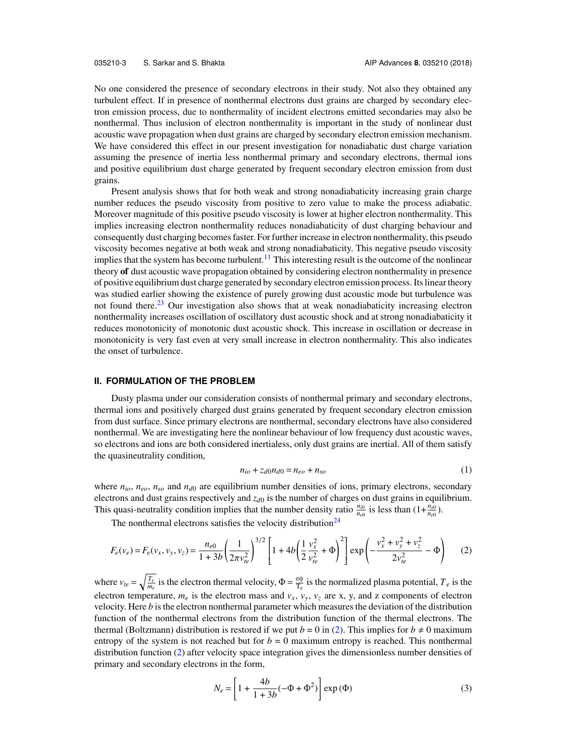No one considered the presence of secondary electrons in their study. Not also they obtained any turbulent effect. If in presence of nonthermal electrons dust grains are charged by secondary electron emission process, due to nonthermality of incident electrons emitted secondaries may also be nonthermal. Thus inclusion of electron nonthermality is important in the study of nonlinear dust acoustic wave propagation when dust grains are charged by secondary electron emission mechanism. We have considered this effect in our present investigation for nonadiabatic dust charge variation assuming the presence of inertia less nonthermal primary and secondary electrons, thermal ions and positive equilibrium dust charge generated by frequent secondary electron emission from dust grains.

Present analysis shows that for both weak and strong nonadiabaticity increasing grain charge number reduces the pseudo viscosity from positive to zero value to make the process adiabatic. Moreover magnitude of this positive pseudo viscosity is lower at higher electron nonthermality. This implies increasing electron nonthermality reduces nonadiabaticity of dust charging behaviour and consequently dust charging becomes faster. For further increase in electron nonthermality, this pseudo viscosity becomes negative at both weak and strong nonadiabaticity. This negative pseudo viscosity implies that the system has become turbulent.<sup>[11](#page-10-6)</sup> This interesting result is the outcome of the nonlinear theory **of** dust acoustic wave propagation obtained by considering electron nonthermality in presence of positive equilibrium dust charge generated by secondary electron emission process. Its linear theory was studied earlier showing the existence of purely growing dust acoustic mode but turbulence was not found there.<sup>[23](#page-10-14)</sup> Our investigation also shows that at weak nonadiabaticity increasing electron nonthermality increases oscillation of oscillatory dust acoustic shock and at strong nonadiabaticity it reduces monotonicity of monotonic dust acoustic shock. This increase in oscillation or decrease in monotonicity is very fast even at very small increase in electron nonthermality. This also indicates the onset of turbulence.

#### **II. FORMULATION OF THE PROBLEM**

Dusty plasma under our consideration consists of nonthermal primary and secondary electrons, thermal ions and positively charged dust grains generated by frequent secondary electron emission from dust surface. Since primary electrons are nonthermal, secondary electrons have also considered nonthermal. We are investigating here the nonlinear behaviour of low frequency dust acoustic waves, so electrons and ions are both considered inertialess, only dust grains are inertial. All of them satisfy the quasineutrality condition,

<span id="page-3-1"></span><span id="page-3-0"></span>
$$
n_{io} + z_{d0}n_{d0} = n_{eo} + n_{so}
$$
 (1)

where *nio*, *neo*, *nso* and *nd*<sup>0</sup> are equilibrium number densities of ions, primary electrons, secondary electrons and dust grains respectively and *zd*<sup>0</sup> is the number of charges on dust grains in equilibrium. This quasi-neutrality condition implies that the number density ratio  $\frac{n_{i0}}{n_{e0}}$  is less than  $(1+\frac{n_{s0}}{n_{e0}})$ .

The nonthermal electrons satisfies the velocity distribution<sup>[24](#page-11-5)</sup>

$$
F_e(\nu_e) = F_e(\nu_x, \nu_y, \nu_z) = \frac{n_{e0}}{1 + 3b} \left(\frac{1}{2\pi\nu_{te}^2}\right)^{3/2} \left[1 + 4b\left(\frac{1}{2}\frac{\nu_x^2}{\nu_{te}^2} + \Phi\right)^2\right] \exp\left(-\frac{\nu_x^2 + \nu_y^2 + \nu_z^2}{2\nu_{te}^2} - \Phi\right) \tag{2}
$$

where  $v_{te} = \sqrt{\frac{T_e}{m_e}}$  is the electron thermal velocity,  $\Phi = \frac{e\phi}{T_e}$  $\frac{e\varphi}{T_e}$  is the normalized plasma potential,  $T_e$  is the electron temperature,  $m_e$  is the electron mass and  $v_x$ ,  $v_y$ ,  $v_z$  are x, y, and z components of electron velocity. Here *b* is the electron nonthermal parameter which measures the deviation of the distribution function of the nonthermal electrons from the distribution function of the thermal electrons. The thermal (Boltzmann) distribution is restored if we put  $b = 0$  in [\(2\)](#page-3-0). This implies for  $b \neq 0$  maximum entropy of the system is not reached but for  $b = 0$  maximum entropy is reached. This nonthermal distribution function [\(2\)](#page-3-0) after velocity space integration gives the dimensionless number densities of primary and secondary electrons in the form, " .<br>..

<span id="page-3-2"></span>
$$
N_e = \left[1 + \frac{4b}{1 + 3b}(-\Phi + \Phi^2)\right] \exp(\Phi)
$$
 (3)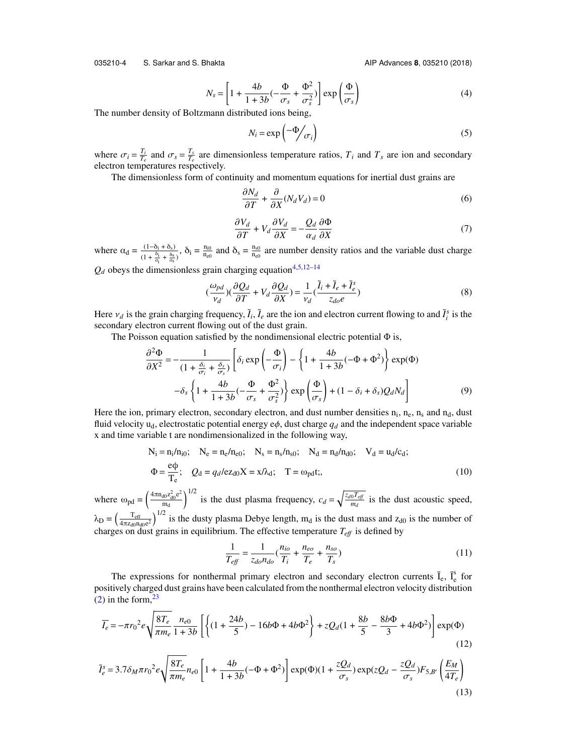035210-4 S. Sarkar and S. Bhakta AIP Advances **8**, 035210 (2018)

$$
N_s = \left[1 + \frac{4b}{1 + 3b}(-\frac{\Phi}{\sigma_s} + \frac{\Phi^2}{\sigma_s^2})\right] \exp\left(\frac{\Phi}{\sigma_s}\right)
$$
(4)

The number density of Boltzmann distributed ions being,

$$
N_i = \exp\left(-\frac{\Phi}{\sigma_i}\right) \tag{5}
$$

where  $\sigma_i = \frac{T_i}{T_e}$  and  $\sigma_s = \frac{T_s}{T_e}$  are dimensionless temperature ratios,  $T_i$  and  $T_s$  are ion and secondary electron temperatures respectively.

The dimensionless form of continuity and momentum equations for inertial dust grains are

$$
\frac{\partial N_d}{\partial T} + \frac{\partial}{\partial X} (N_d V_d) = 0
$$
\n(6)

$$
\frac{\partial V_d}{\partial T} + V_d \frac{\partial V_d}{\partial X} = -\frac{Q_d}{\alpha_d} \frac{\partial \Phi}{\partial X}
$$
(7)

where  $\alpha_d = \frac{(1-\delta_i+\delta_s)}{(1-\delta_i-\delta_s)}$  $\frac{(1-\delta_i+\delta_s)}{(1+\frac{\delta_i}{\sigma_i}+\frac{\delta_s}{\sigma_s})}, \delta_i = \frac{n_{i0}}{n_{e0}}$  $\frac{n_{i0}}{n_{e0}}$  and  $\delta_s = \frac{n_{s0}}{n_{e0}}$  $\frac{n_{s0}}{n_{e0}}$  are number density ratios and the variable dust charge

 $Q_d$  obeys the dimensionless grain charging equation<sup>[4](#page-10-2)[,5,](#page-10-3)[12–](#page-10-7)[14](#page-10-9)</sup>

<span id="page-4-0"></span>
$$
\left(\frac{\omega_{pd}}{v_d}\right)\left(\frac{\partial Q_d}{\partial T} + V_d \frac{\partial Q_d}{\partial X}\right) = \frac{1}{v_d} \left(\frac{\bar{l}_i + \bar{l}_e + \bar{l}_e^s}{z_{do}e}\right)
$$
\n(8)

Here  $v_d$  is the grain charging frequency,  $\bar{I}_i$ ,  $\bar{I}_e$  are the ion and electron current flowing to and  $\bar{I}_i^s$  is the secondary electron current flowing out of the dust grain secondary electron current flowing out of the dust grain.

The Poisson equation satisfied by the nondimensional electric potential  $\Phi$  is,

$$
\frac{\partial^2 \Phi}{\partial X^2} = -\frac{1}{(1 + \frac{\delta_i}{\sigma_i} + \frac{\delta_s}{\sigma_s})} \left[ \delta_i \exp\left(-\frac{\Phi}{\sigma_i}\right) - \left\{1 + \frac{4b}{1 + 3b}(-\Phi + \Phi^2)\right\} \exp(\Phi) -\delta_s \left\{1 + \frac{4b}{1 + 3b}(-\frac{\Phi}{\sigma_s} + \frac{\Phi^2}{\sigma_s^2})\right\} \exp\left(\frac{\Phi}{\sigma_s}\right) + (1 - \delta_i + \delta_s) Q_d N_d \right]
$$
(9)

Here the ion, primary electron, secondary electron, and dust number densities  $n_i$ ,  $n_e$ ,  $n_s$  and  $n_d$ , dust fluid velocity  $u_d$ , electrostatic potential energy  $e\phi$ , dust charge  $q_d$  and the independent space variable x and time variable t are nondimensionalized in the following way,

$$
N_i = n_i/n_{i0}; \quad N_e = n_e/n_{e0}; \quad N_s = n_s/n_{s0}; \quad N_d = n_d/n_{d0}; \quad V_d = u_d/c_d;
$$
  
\n
$$
\Phi = \frac{e\phi}{T_e}; \quad Q_d = q_d/ez_{d0}X = x/\lambda_d; \quad T = \omega_{pd}t;
$$
\n(10)

where  $\omega_{\text{pd}} = \left(\frac{4\pi n_{\text{d0}}z_{\text{d0}}^2e^2}{m_d}\right)$ m<sub>d</sub>  $\int_{1/2}^{1/2}$  is the dust plasma frequency,  $c_d = \sqrt{\frac{z_d \sigma T_{ef}}{m_d}}$  $\frac{0.1 \text{ eV}}{m_d}$  is the dust acoustic speed,  $\lambda_{\rm D} = \left(\frac{T_{\rm eff}}{4\pi z_{\rm 40D}}\right)$  $\frac{T_{\text{eff}}}{4\pi z_{d0}n_{d0}e^2}$ <sup>1/2</sup> is the dusty plasma Debye length, m<sub>d</sub> is the dust mass and z<sub>d0</sub> is the number of

$$
\lambda_{\rm D} = \left(\frac{\mu_{\rm T}}{4\pi z_{\rm d0}n_{\rm d0}e^2}\right)
$$
 is the dusty plasma Debye length, m<sub>d</sub> is the dust mass and z<sub>d0</sub> is the number of charges on dust grains in equilibrium. The effective temperature  $T_{\rm eff}$  is defined by

$$
\frac{1}{T_{\text{eff}}} = \frac{1}{z_{do} n_{do}} (\frac{n_{io}}{T_i} + \frac{n_{eo}}{T_e} + \frac{n_{so}}{T_s})
$$
(11)

The expressions for nonthermal primary electron and secondary electron currents  $\bar{I}_e$ ,  $\bar{I}_e^s$  for positively charged dust grains have been calculated from the nonthermal electron velocity distribution  $(2)$  in the form,  $23$ 

<span id="page-4-1"></span>
$$
\overline{I_e} = -\pi r_0^2 e \sqrt{\frac{8T_e}{\pi m_e}} \frac{n_{e0}}{1+3b} \left[ \left\{ (1 + \frac{24b}{5}) - 16b\Phi + 4b\Phi^2 \right\} + zQ_d (1 + \frac{8b}{5} - \frac{8b\Phi}{3} + 4b\Phi^2) \right] \exp(\Phi)
$$
\n(12)

$$
\bar{I}_e^s = 3.7\delta_M \pi r_0^2 e \sqrt{\frac{8T_e}{\pi m_e}} n_{e0} \left[ 1 + \frac{4b}{1+3b} (-\Phi + \Phi^2) \right] \exp(\Phi)(1 + \frac{zQ_d}{\sigma_s}) \exp(zQ_d - \frac{zQ_d}{\sigma_s}) F_{5,B'} \left( \frac{E_M}{4T_e} \right)
$$
\n(13)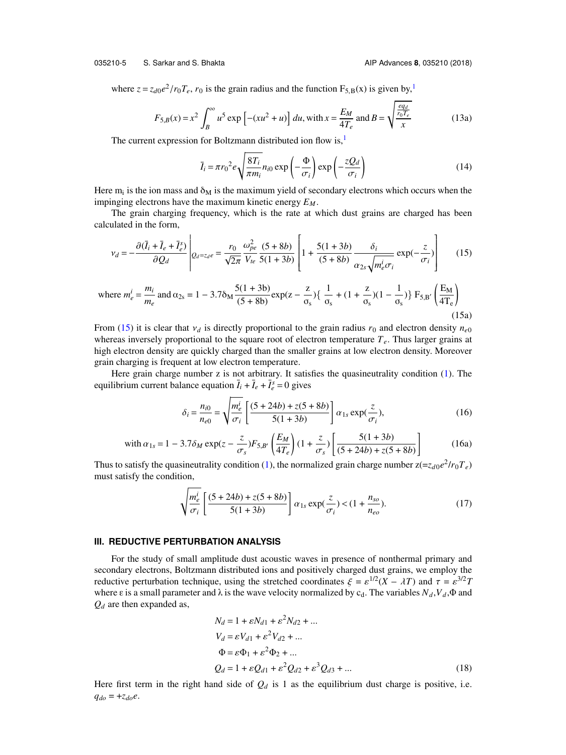035210-5 S. Sarkar and S. Bhakta AIP Advances **8**, 035210 (2018)

where  $z = z_{d0}e^2/r_0T_e$ ,  $r_0$  is the grain radius and the function  $F_{5,B}(x)$  is given by,<sup>[1](#page-10-0)</sup>

$$
F_{5,B}(x) = x^2 \int_B^{\infty} u^5 \exp\left[-(xu^2 + u)\right] du, \text{ with } x = \frac{E_M}{4T_e} \text{ and } B = \sqrt{\frac{\frac{eq_d}{r_0 T_e}}{x}}
$$
(13a)

The current expression for Boltzmann distributed ion flow is, $<sup>1</sup>$  $<sup>1</sup>$  $<sup>1</sup>$ </sup>

<span id="page-5-1"></span><span id="page-5-0"></span>
$$
\bar{I}_i = \pi r_0^2 e \sqrt{\frac{8T_i}{\pi m_i}} n_{i0} \exp\left(-\frac{\Phi}{\sigma_i}\right) \exp\left(-\frac{zQ_d}{\sigma_i}\right) \tag{14}
$$

Here  $m_i$  is the ion mass and  $\delta_M$  is the maximum yield of secondary electrons which occurs when the impinging electrons have the maximum kinetic energy *EM*.

The grain charging frequency, which is the rate at which dust grains are charged has been calculated in the form,

$$
v_d = -\frac{\partial(\bar{I}_i + \bar{I}_e + \bar{I}_e^s)}{\partial Q_d} \left|_{Q_d = z_d e} = \frac{r_0}{\sqrt{2\pi}} \frac{\omega_{pe}^2}{V_{te}} \frac{(5+8b)}{5(1+3b)} \left[ 1 + \frac{5(1+3b)}{(5+8b)} \frac{\delta_i}{\alpha_{2s} \sqrt{m_e^i \sigma_i}} \exp(-\frac{z}{\sigma_i}) \right] \right]
$$
(15)

where 
$$
m_e^i = \frac{m_i}{m_e}
$$
 and  $\alpha_{2s} = 1 - 3.7\delta_M \frac{5(1+3b)}{(5+8b)} \exp(z - \frac{z}{\sigma_s}) \left\{ \frac{1}{\sigma_s} + (1 + \frac{z}{\sigma_s})(1 - \frac{1}{\sigma_s}) \right\} F_{5,B'} \left( \frac{E_M}{4T_e} \right)$  (15a)

From [\(15\)](#page-5-0) it is clear that  $v_d$  is directly proportional to the grain radius  $r_0$  and electron density  $n_{e0}$ whereas inversely proportional to the square root of electron temperature *Te*. Thus larger grains at high electron density are quickly charged than the smaller grains at low electron density. Moreover grain charging is frequent at low electron temperature.

Here grain charge number  $z$  is not arbitrary. It satisfies the quasineutrality condition  $(1)$ . The equilibrium current balance equation  $\overline{I}_i + \overline{I}_e + \overline{I}_e^s = 0$  gives

$$
\delta_i = \frac{n_{i0}}{n_{e0}} = \sqrt{\frac{m_e^i}{\sigma_i} \left[ \frac{(5 + 24b) + z(5 + 8b)}{5(1 + 3b)} \right] \alpha_{1s} \exp(\frac{z}{\sigma_i}),\tag{16}
$$

with 
$$
\alpha_{1s} = 1 - 3.7 \delta_M \exp(z - \frac{z}{\sigma_s}) F_{5,B'} \left( \frac{E_M}{4T_e} \right) (1 + \frac{z}{\sigma_s}) \left[ \frac{5(1+3b)}{(5+24b) + z(5+8b)} \right]
$$
 (16a)

Thus to satisfy the quasineutrality condition [\(1\)](#page-3-1), the normalized grain charge number  $z = z_{d0}e^2/r_0T_e$ ) must satisfy the condition,

$$
\sqrt{\frac{m_e^i}{\sigma_i}} \left[ \frac{(5+24b) + z(5+8b)}{5(1+3b)} \right] \alpha_{1s} \exp(\frac{z}{\sigma_i}) < (1 + \frac{n_{so}}{n_{eo}}). \tag{17}
$$

#### **III. REDUCTIVE PERTURBATION ANALYSIS**

For the study of small amplitude dust acoustic waves in presence of nonthermal primary and secondary electrons, Boltzmann distributed ions and positively charged dust grains, we employ the **REDUCTIVE PERTURBATION ANALYSIS**<br>For the study of small amplitude dust acoustic waves in presence of nonthermal primary and<br>secondary electrons, Boltzmann distributed ions and positively charged dust grains, we employ th where  $\varepsilon$  is a small parameter and  $\lambda$  is the wave velocity normalized by c<sub>d</sub>. The variables  $N_d$ ,  $V_d$ ,  $\Phi$  and *Q<sup>d</sup>* are then expanded as,

$$
N_d = 1 + \varepsilon N_{d1} + \varepsilon^2 N_{d2} + ...
$$
  
\n
$$
V_d = \varepsilon V_{d1} + \varepsilon^2 V_{d2} + ...
$$
  
\n
$$
\Phi = \varepsilon \Phi_1 + \varepsilon^2 \Phi_2 + ...
$$
  
\n
$$
Q_d = 1 + \varepsilon Q_{d1} + \varepsilon^2 Q_{d2} + \varepsilon^3 Q_{d3} + ...
$$
\n(18)

Here first term in the right hand side of  $Q_d$  is 1 as the equilibrium dust charge is positive, i.e.  $q_{do} = +z_{do}e$ .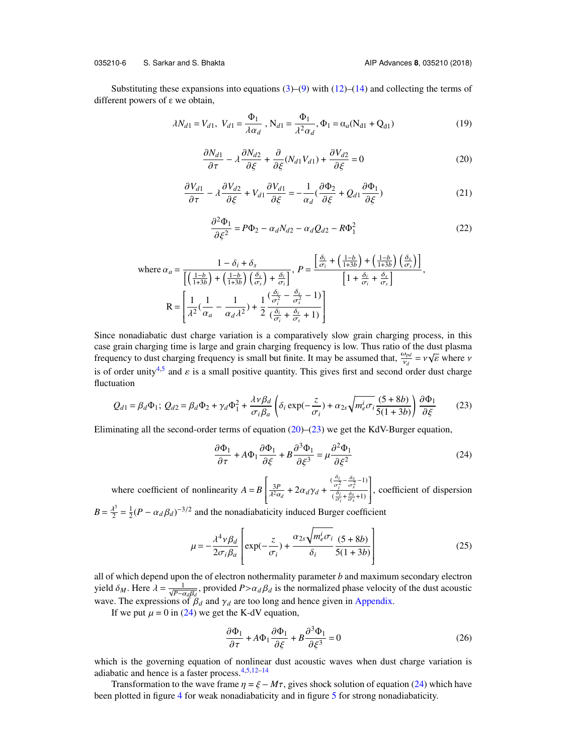#### 035210-6 S. Sarkar and S. Bhakta AIP Advances **8**, 035210 (2018)

<span id="page-6-0"></span>Substituting these expansions into equations  $(3)$ – $(9)$  with  $(12)$ – $(14)$  and collecting the terms of different powers of ε we obtain,

$$
\lambda N_{d1} = V_{d1}, \ V_{d1} = \frac{\Phi_1}{\lambda \alpha_d}, \ N_{d1} = \frac{\Phi_1}{\lambda^2 \alpha_d}, \ \Phi_1 = \alpha_a (N_{d1} + Q_{d1})
$$
\n(19)

$$
\frac{\partial N_{d1}}{\partial \tau} - \lambda \frac{\partial N_{d2}}{\partial \xi} + \frac{\partial}{\partial \xi} (N_{d1} V_{d1}) + \frac{\partial V_{d2}}{\partial \xi} = 0
$$
\n(20)

$$
\frac{\partial V_{d1}}{\partial \tau} - \lambda \frac{\partial V_{d2}}{\partial \xi} + V_{d1} \frac{\partial V_{d1}}{\partial \xi} = -\frac{1}{\alpha_d} (\frac{\partial \Phi_2}{\partial \xi} + Q_{d1} \frac{\partial \Phi_1}{\partial \xi})
$$
(21)

<span id="page-6-2"></span>f

$$
\frac{\partial^2 \Phi_1}{\partial \xi^2} = P\Phi_2 - \alpha_d N_{d2} - \alpha_d Q_{d2} - R\Phi_1^2
$$
\n(22)

where 
$$
\alpha_a = \frac{1 - \delta_i + \delta_s}{\left[ \left( \frac{1 - b}{1 + 3b} \right) + \left( \frac{1 - b}{1 + 3b} \right) \left( \frac{\delta_s}{\sigma_s} \right) + \frac{\delta_i}{\sigma_s} \right]}
$$
,  $P = \frac{\left[ \frac{\delta_i}{\sigma_i} + \left( \frac{1 - b}{1 + 3b} \right) + \left( \frac{1 - b}{1 + 3b} \right) \left( \frac{\delta_s}{\sigma_s} \right) \right]}{\left[ 1 + \frac{\delta_i}{\sigma_i} + \frac{\delta_s}{\sigma_s} \right]}$ ,  
\n $R = \left[ \frac{1}{\lambda^2} \left( \frac{1}{\alpha_a} - \frac{1}{\alpha_d \lambda^2} \right) + \frac{1}{2} \frac{\left( \frac{\delta_i}{\sigma_i^2} - \frac{\delta_s}{\sigma_s^2} - 1 \right)}{\left( \frac{\delta_i}{\sigma_i} + \frac{\delta_s}{\sigma_s} + 1 \right)} \right]$ 

Since nonadiabatic dust charge variation is a comparatively slow grain charging process, in this case grain charging time is large and grain charging frequency is low. Thus ratio of the dust plasma case grain charging time is targe and grain charging frequency is low. Thus ratio of the dust plasma<br>frequency to dust charging frequency is small but finite. It may be assumed that,  $\frac{\omega_{pd}}{v_d} = v\sqrt{\epsilon}$  where *v* is of order unity<sup>[4,](#page-10-2)[5](#page-10-3)</sup> and  $\varepsilon$  is a small positive quantity. This gives first and second order dust charge fluctuation fluctuation

<span id="page-6-1"></span>
$$
Q_{d1} = \beta_d \Phi_1; \ Q_{d2} = \beta_d \Phi_2 + \gamma_d \Phi_1^2 + \frac{\lambda v \beta_d}{\sigma_i \beta_a} \left( \delta_i \exp(-\frac{z}{\sigma_i}) + \alpha_{2s} \sqrt{m_e^i \sigma_i} \frac{(5+8b)}{5(1+3b)} \right) \frac{\partial \Phi_1}{\partial \xi}
$$
(23)

Eliminating all the second-order terms of equation  $(20)$ – $(23)$  we get the KdV-Burger equation,

<span id="page-6-4"></span>
$$
\frac{\partial \Phi_1}{\partial \tau} + A \Phi_1 \frac{\partial \Phi_1}{\partial \xi} + B \frac{\partial^3 \Phi_1}{\partial \xi^3} = \mu \frac{\partial^2 \Phi_1}{\partial \xi^2}
$$
(24)

where coefficient of nonlinearity  $A = B$  $\begin{bmatrix} \phantom{-} \\ \phantom{-} \end{bmatrix}$  $\frac{3P}{\lambda^2 \alpha_d} + 2\alpha_d \gamma_d +$  $\left(\frac{\delta_i}{\sigma_i^2} - \frac{\delta_s}{\sigma_s^2} - 1\right)$  $\left(\frac{\partial i}{\partial \tau_i} + \frac{\partial s}{\partial \tau_s} + 1\right)$ σ*i*  $\begin{bmatrix} \phantom{-} \end{bmatrix}$ , coefficient of dispersion  $B=\frac{\lambda^3}{2}$  $\frac{d^3}{2} = \frac{1}{2}(P - \alpha_d \beta_d)^{-3/2}$  and the nonadiabaticity induced Burger coefficient

$$
\mu = -\frac{\lambda^4 v \beta_d}{2\sigma_i \beta_a} \left[ \exp(-\frac{z}{\sigma_i}) + \frac{\alpha_{2s} \sqrt{m_e^i \sigma_i}}{\delta_i} \frac{(5+8b)}{5(1+3b)} \right]
$$
(25)

all of which depend upon the of electron nothermality parameter *b* and maximum secondary electron yield  $\delta_M$ . Here  $\lambda = \frac{1}{\sqrt{P - \alpha_d \beta_d}}$ , provided  $P > \alpha_d \beta_d$  is the normalized phase velocity of the dust acoustic wave. The expressions of  $\beta$ , and  $\gamma$ , are too long and hence given in Appendix wave. The expressions of  $\beta_d$  and  $\gamma_d$  are too long and hence given in [Appendix.](#page-10-15)

If we put  $\mu = 0$  in [\(24\)](#page-6-2) we get the K-dV equation,

<span id="page-6-3"></span>
$$
\frac{\partial \Phi_1}{\partial \tau} + A \Phi_1 \frac{\partial \Phi_1}{\partial \xi} + B \frac{\partial^3 \Phi_1}{\partial \xi^3} = 0
$$
 (26)

which is the governing equation of nonlinear dust acoustic waves when dust charge variation is adiabatic and hence is a faster process. $4,5,12-14$  $4,5,12-14$  $4,5,12-14$  $4,5,12-14$ 

Transformation to the wave frame  $\eta = \xi - M\tau$ , gives shock solution of equation [\(24\)](#page-6-2) which have been plotted in figure [4](#page-9-0) for weak nonadiabaticity and in figure [5](#page-9-1) for strong nonadiabaticity.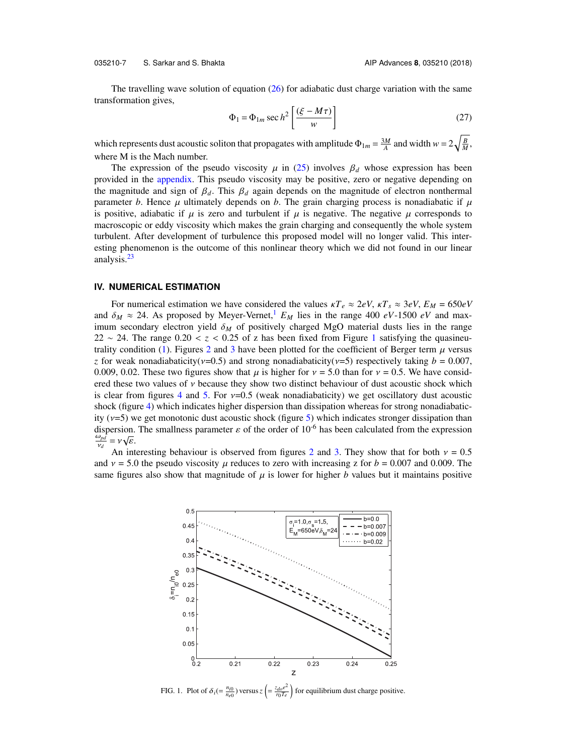035210-7 S. Sarkar and S. Bhakta AIP Advances **8**, 035210 (2018)

The travelling wave solution of equation  $(26)$  for adiabatic dust charge variation with the same transformation gives, " .<br>..

$$
\Phi_1 = \Phi_{1m} \sec h^2 \left[ \frac{(\xi - M\tau)}{w} \right] \tag{27}
$$

which represents dust acoustic soliton that propagates with amplitude  $\Phi_{1m} = \frac{3M}{A}$  and width  $w = 2\sqrt{\frac{B}{M}}$ , where M is the Mach number.

The expression of the pseudo viscosity  $\mu$  in [\(25\)](#page-6-4) involves  $\beta_d$  whose expression has been provided in the [appendix.](#page-10-15) This pseudo viscosity may be positive, zero or negative depending on the magnitude and sign of  $\beta_d$ . This  $\beta_d$  again depends on the magnitude of electron nonthermal parameter *b*. Hence  $\mu$  ultimately depends on *b*. The grain charging process is nonadiabatic if  $\mu$ is positive, adiabatic if  $\mu$  is zero and turbulent if  $\mu$  is negative. The negative  $\mu$  corresponds to macroscopic or eddy viscosity which makes the grain charging and consequently the whole system turbulent. After development of turbulence this proposed model will no longer valid. This interesting phenomenon is the outcome of this nonlinear theory which we did not found in our linear analysis.<sup>[23](#page-10-14)</sup>

#### **IV. NUMERICAL ESTIMATION**

For numerical estimation we have considered the values  $\kappa T_e \approx 2eV$ ,  $\kappa T_s \approx 3eV$ ,  $E_M = 650eV$ and  $\delta_M \approx 24$ . As proposed by Meyer-Vernet,<sup>[1](#page-10-0)</sup>  $E_M$  lies in the range 400 *eV*-1500 *eV* and maximum secondary electron yield  $\delta_M$  of positively charged MgO material dusts lies in the range 22 ∼ 24. The range  $0.20 < z < 0.25$  of z has been fixed from Figure [1](#page-7-0) satisfying the quasineu-trality condition [\(1\)](#page-3-1). Figures [2](#page-8-0) and [3](#page-8-1) have been plotted for the coefficient of Berger term  $\mu$  versus *z* for weak nonadiabaticity( $v=0.5$ ) and strong nonadiabaticity( $v=5$ ) respectively taking  $b = 0.007$ , 0.009, 0.02. These two figures show that  $\mu$  is higher for  $\nu = 5.0$  than for  $\nu = 0.5$ . We have considered these two values of  $\nu$  because they show two distinct behaviour of dust acoustic shock which is clear from figures [4](#page-9-0) and [5.](#page-9-1) For  $\nu=0.5$  (weak nonadiabaticity) we get oscillatory dust acoustic shock (figure [4\)](#page-9-0) which indicates higher dispersion than dissipation whereas for strong nonadiabaticity ( $v=5$ ) we get monotonic dust acoustic shock (figure [5\)](#page-9-1) which indicates stronger dissipation than dispersion. The smallness parameter  $\varepsilon$  of the order of 10<sup>-6</sup> has been calculated from the expression  $\frac{\omega_{pd}}{\varepsilon} - v \sqrt{\varepsilon}$  $\frac{\omega_{pd}}{\omega_{p}}$  $\frac{\omega_{pd}}{v_d} = v \sqrt{\varepsilon}.$ <br>An int

<span id="page-7-0"></span>An interesting behaviour is observed from figures [2](#page-8-0) and [3.](#page-8-1) They show that for both  $v = 0.5$ and  $v = 5.0$  the pseudo viscosity  $\mu$  reduces to zero with increasing z for  $b = 0.007$  and 0.009. The same figures also show that magnitude of  $\mu$  is lower for higher *b* values but it maintains positive



FIG. 1. Plot of  $\delta_i$  (=  $\frac{n_{i0}}{n_{e0}}$ ) versus  $z \left( = \frac{z_{do}e^2}{r_0T_e} \right)$  $\frac{r_{do}e^2}{r_0T_e}$  for equilibrium dust charge positive.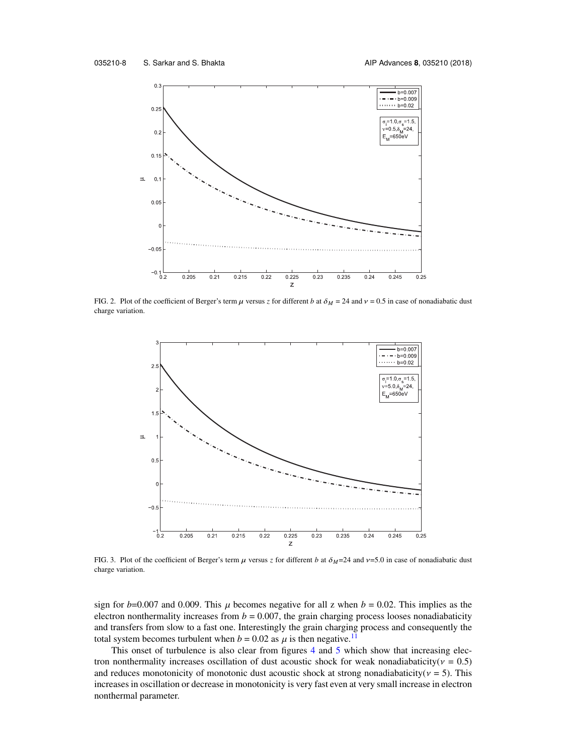<span id="page-8-0"></span>

FIG. 2. Plot of the coefficient of Berger's term  $\mu$  versus *z* for different *b* at  $\delta_M = 24$  and  $\nu = 0.5$  in case of nonadiabatic dust charge variation.

<span id="page-8-1"></span>

FIG. 3. Plot of the coefficient of Berger's term  $\mu$  versus *z* for different *b* at  $\delta_M$ =24 and  $\nu$ =5.0 in case of nonadiabatic dust charge variation.

sign for  $b=0.007$  and 0.009. This  $\mu$  becomes negative for all z when  $b = 0.02$ . This implies as the electron nonthermality increases from  $b = 0.007$ , the grain charging process looses nonadiabaticity and transfers from slow to a fast one. Interestingly the grain charging process and consequently the total system becomes turbulent when  $b = 0.02$  as  $\mu$  is then negative.<sup>[11](#page-10-6)</sup>

This onset of turbulence is also clear from figures [4](#page-9-0) and [5](#page-9-1) which show that increasing electron nonthermality increases oscillation of dust acoustic shock for weak nonadiabaticity( $v = 0.5$ ) and reduces monotonicity of monotonic dust acoustic shock at strong nonadiabaticity( $v = 5$ ). This increases in oscillation or decrease in monotonicity is very fast even at very small increase in electron nonthermal parameter.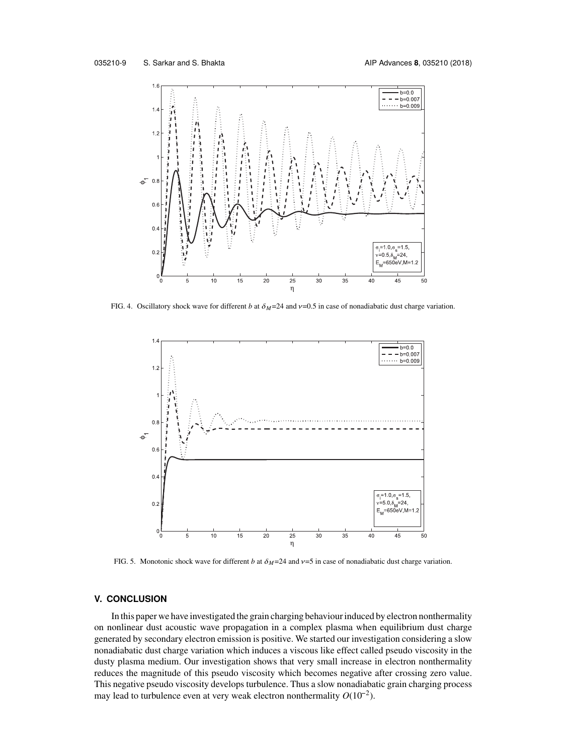<span id="page-9-0"></span>

<span id="page-9-1"></span>FIG. 4. Oscillatory shock wave for different *b* at  $\delta_M$ =24 and  $\nu$ =0.5 in case of nonadiabatic dust charge variation.



FIG. 5. Monotonic shock wave for different *b* at  $\delta_M$ =24 and  $\nu$ =5 in case of nonadiabatic dust charge variation.

#### **V. CONCLUSION**

In this paper we have investigated the grain charging behaviour induced by electron nonthermality on nonlinear dust acoustic wave propagation in a complex plasma when equilibrium dust charge generated by secondary electron emission is positive. We started our investigation considering a slow nonadiabatic dust charge variation which induces a viscous like effect called pseudo viscosity in the dusty plasma medium. Our investigation shows that very small increase in electron nonthermality reduces the magnitude of this pseudo viscosity which becomes negative after crossing zero value. This negative pseudo viscosity develops turbulence. Thus a slow nonadiabatic grain charging process reduces the magnitude of this pseudo viscosity which becomes negative<br>This negative pseudo viscosity develops turbulence. Thus a slow nonadiaba<br>may lead to turbulence even at very weak electron nonthermality  $O(10^{-2})$ .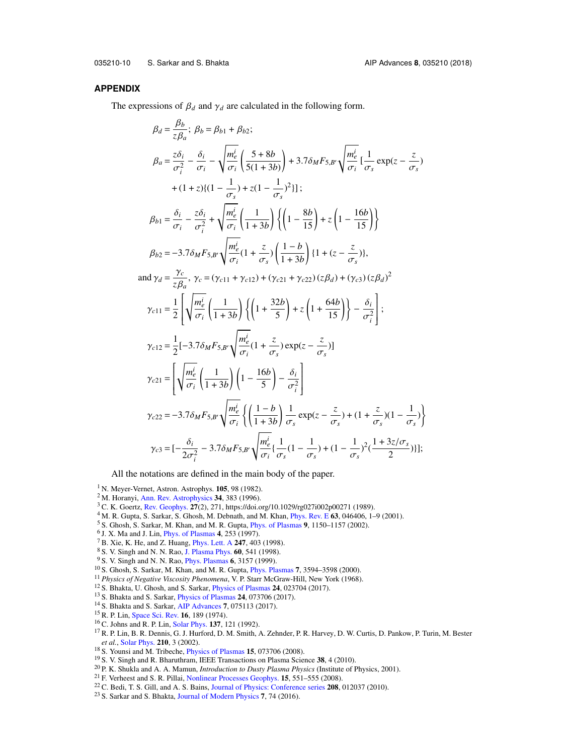035210-10 S. Sarkar and S. Bhakta AIP Advances **8**, 035210 (2018)

#### <span id="page-10-15"></span>**APPENDIX**

The expressions of  $\beta_d$  and  $\gamma_d$  are calculated in the following form.

$$
\beta_{d} = \frac{B_{b}}{z\beta_{a}}; \ \beta_{b} = \beta_{b1} + \beta_{b2};
$$
\n
$$
\beta_{a} = \frac{z\delta_{i}}{\sigma_{i}^{2}} - \frac{\delta_{i}}{\sigma_{i}} - \sqrt{\frac{m_{e}^{i}}{\sigma_{i}} \left( \frac{5+8b}{5(1+3b)} \right)} + 3.7\delta_{M}F_{5,B'}\sqrt{\frac{m_{e}^{i}}{\sigma_{i}} \left( \frac{1}{\sigma_{s}} \exp(z - \frac{z}{\sigma_{s}}) \right)}
$$
\n
$$
+ (1+z)\{(1-\frac{1}{\sigma_{s}}) + z(1-\frac{1}{\sigma_{s}})^{2}\};
$$
\n
$$
\beta_{b1} = \frac{\delta_{i}}{\sigma_{i}} - \frac{z\delta_{i}}{\sigma_{i}^{2}} + \sqrt{\frac{m_{e}^{i}}{\sigma_{i}} \left( \frac{1}{1+3b} \right) \left( \left( 1 - \frac{8b}{15} \right) + z \left( 1 - \frac{16b}{15} \right) \right\}}
$$
\n
$$
\beta_{b2} = -3.7\delta_{M}F_{5,B'}\sqrt{\frac{m_{e}^{i}}{\sigma_{i}} \left( 1 + \frac{z}{\sigma_{s}} \right) \left( \frac{1-b}{1+3b} \right) \left\{ 1 + (z - \frac{z}{\sigma_{s}}) \right\},
$$
\n
$$
\text{and } \gamma_{d} = \frac{\gamma_{c}}{z\beta_{a}}, \ \gamma_{c} = (\gamma_{c11} + \gamma_{c12}) + (\gamma_{c21} + \gamma_{c22}) (z\beta_{d}) + (\gamma_{c3}) (z\beta_{d})^{2}
$$
\n
$$
\gamma_{c11} = \frac{1}{2} \left[ \sqrt{\frac{m_{e}^{i}}{\sigma_{i}} \left( \frac{1}{1+3b} \right) \left\{ \left( 1 + \frac{32b}{5} \right) + z \left( 1 + \frac{64b}{15} \right) \right\} - \frac{\delta_{i}}{\sigma_{i}^{2}} \right];
$$
\n
$$
\gamma_{c12} = \frac{1}{2} [-3.7\delta_{M}F_{5,B'}\sqrt{\frac{m_{e}^{i}}{\sigma_{i}} \left( 1 + \frac{z}{\sigma_{s}} \
$$

All the notations are defined in the main body of the paper.

- <span id="page-10-0"></span><sup>1</sup> N. Meyer-Vernet, Astron. Astrophys. **105**, 98 (1982).
- <sup>2</sup> M. Horanyi, [Ann. Rev. Astrophysics](https://doi.org/10.1146/annurev.astro.34.1.383) **34**, 383 (1996).
- <span id="page-10-1"></span><sup>3</sup> C. K. Goertz, [Rev. Geophys.](https://doi.org/10.1029/rg027i002p00271) **27**(2), 271, https://doi.org/10.1029/rg027i002p00271 (1989).
- <span id="page-10-2"></span><sup>4</sup> M. R. Gupta, S. Sarkar, S. Ghosh, M. Debnath, and M. Khan, [Phys. Rev. E](https://doi.org/10.1103/physreve.63.046406) **63**, 046406, 1–9 (2001).
- <span id="page-10-3"></span><sup>5</sup> S. Ghosh, S. Sarkar, M. Khan, and M. R. Gupta, [Phys. of Plasmas](https://doi.org/10.1063/1.1455627) **9**, 1150–1157 (2002).
- <span id="page-10-4"></span>6 J. X. Ma and J. Lin, [Phys. of Plasmas](https://doi.org/10.1063/1.872086) **4**, 253 (1997).
- <sup>7</sup> B. Xie, K. He, and Z. Huang, [Phys. Lett. A](https://doi.org/10.1016/s0375-9601(98)00616-1) **247**, 403 (1998).
- <sup>8</sup> S. V. Singh and N. N. Rao, [J. Plasma Phys.](https://doi.org/10.1017/s0022377898006916) **60**, 541 (1998).
- <sup>9</sup> S. V. Singh and N. N. Rao, [Phys. Plasmas](https://doi.org/10.1063/1.873555) **6**, 3157 (1999).
- <span id="page-10-5"></span><sup>10</sup> S. Ghosh, S. Sarkar, M. Khan, and M. R. Gupta, [Phys. Plasmas](https://doi.org/10.1063/1.1287140) **7**, 3594–3598 (2000).
- <span id="page-10-6"></span><sup>11</sup> *Physics of Negative Viscosity Phenomena*, V. P. Starr McGraw-Hill, New York (1968).
- <span id="page-10-7"></span><sup>12</sup> S. Bhakta, U. Ghosh, and S. Sarkar, [Physics of Plasmas](https://doi.org/10.1063/1.4976711) **24**, 023704 (2017).
- <span id="page-10-8"></span><sup>13</sup> S. Bhakta and S. Sarkar, [Physics of Plasmas](https://doi.org/10.1063/1.4990553) **24**, 073706 (2017).
- <span id="page-10-9"></span><sup>14</sup> S. Bhakta and S. Sarkar, [AIP Advances](https://doi.org/10.1063/1.4985747) **7**, 075113 (2017).
- <span id="page-10-10"></span><sup>15</sup> R. P. Lin, [Space Sci. Rev.](https://doi.org/10.1007/bf00240886) **16**, 189 (1974).
- <sup>16</sup> C. Johns and R. P. Lin, [Solar Phys.](https://doi.org/10.1007/bf00146579) **137**, 121 (1992).
- <span id="page-10-11"></span><sup>17</sup> R. P. Lin, B. R. Dennis, G. J. Hurford, D. M. Smith, A. Zehnder, P. R. Harvey, D. W. Curtis, D. Pankow, P. Turin, M. Bester *et al.*, [Solar Phys.](https://doi.org/10.1023/a:1022428818870) **210**, 3 (2002).
- <span id="page-10-12"></span><sup>18</sup> S. Younsi and M. Tribeche, [Physics of Plasmas](https://doi.org/10.1063/1.2952002) **15**, 073706 (2008).
- <sup>19</sup> S. V. Singh and R. Bharuthram, IEEE Transactions on Plasma Science **38**, 4 (2010).
- <sup>20</sup> P. K. Shukla and A. A. Mamun, *Introduction to Dusty Plasma Physics* (Institute of Physics, 2001).
- <sup>21</sup> F. Verheest and S. R. Pillai, [Nonlinear Processes Geophys.](https://doi.org/10.5194/npg-15-551-2008) **15**, 551–555 (2008).
- <span id="page-10-13"></span><sup>22</sup> C. Bedi, T. S. Gill, and A. S. Bains, [Journal of Physics: Conference series](https://doi.org/10.1088/1742-6596/208/1/012037) **208**, 012037 (2010).
- <span id="page-10-14"></span><sup>23</sup> S. Sarkar and S. Bhakta, [Journal of Modern Physics](https://doi.org/10.4236/jmp.2016.71008) **7**, 74 (2016).